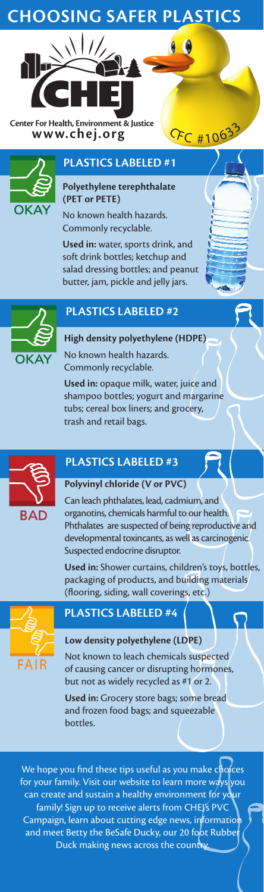# **Choosing SAFER plastics**

**Center For Health, Environment & Justice**<br> **WWW.chej.org CFC** #106<sup>33</sup>



## **PLASTICS LABELED #1**

**Polyethylene terephthalate (PET or PETE)**

No known health hazards. Commonly recyclable.

**Used in:** water, sports drink, and soft drink bottles; ketchup and salad dressing bottles; and peanut butter, jam, pickle and jelly jars.



### **PLASTICS LABELED #2**

**High density polyethylene (HDPE)** No known health hazards. Commonly recyclable.

**Used in:** opaque milk, water, juice and shampoo bottles; yogurt and margarine tubs; cereal box liners; and grocery, trash and retail bags.



# **PLASTICS LABELED #3**

### **Polyvinyl chloride (V or PVC)**

Can leach phthalates, lead, cadmium, and organotins, chemicals harmful to our health. Phthalates are suspected of being reproductive and developmental toxincants, as well as carcinogenic. Suspected endocrine disruptor.

**Used in:** Shower curtains, children's toys, bottles, packaging of products, and building materials (flooring, siding, wall coverings, etc.)



### **PLASTICS LABELED #4**

### **Low density polyethylene (LDPE)**

Not known to leach chemicals suspected of causing cancer or disrupting hormones, but not as widely recycled as #1 or 2.

**Used in:** Grocery store bags; some bread and frozen food bags; and squeezable bottles.

We hope you find these tips useful as you make choices for your family. Visit our website to learn more ways you can create and sustain a healthy environment for your family! Sign up to receive alerts from CHEJ's PVC Campaign, learn about cutting edge news, information<br>and meet Betty the BeSafe Ducky, our 20 foot Rubber and meet Betty the BeSafe Ducky, our 20 fo Duck making news across the country.